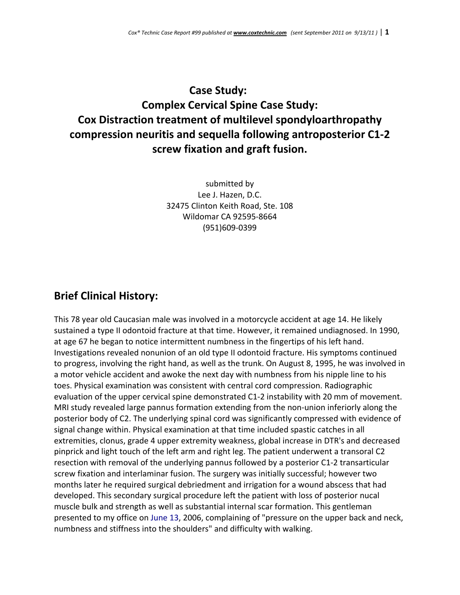# **Case Study: Complex Cervical Spine Case Study: Cox Distraction treatment of multilevel spondyloarthropathy compression neuritis and sequella following antroposterior C1‐2 screw fixation and graft fusion.**

submitted by Lee J. Hazen, D.C. 32475 Clinton Keith Road, Ste. 108 Wildomar CA 92595‐8664 (951)609‐0399

### **Brief Clinical History:**

This 78 year old Caucasian male was involved in a motorcycle accident at age 14. He likely sustained a type II odontoid fracture at that time. However, it remained undiagnosed. In 1990, at age 67 he began to notice intermittent numbness in the fingertips of his left hand. Investigations revealed nonunion of an old type II odontoid fracture. His symptoms continued to progress, involving the right hand, as well as the trunk. On August 8, 1995, he was involved in a motor vehicle accident and awoke the next day with numbness from his nipple line to his toes. Physical examination was consistent with central cord compression. Radiographic evaluation of the upper cervical spine demonstrated C1‐2 instability with 20 mm of movement. MRI study revealed large pannus formation extending from the non-union inferiorly along the posterior body of C2. The underlying spinal cord was significantly compressed with evidence of signal change within. Physical examination at that time included spastic catches in all extremities, clonus, grade 4 upper extremity weakness, global increase in DTR's and decreased pinprick and light touch of the left arm and right leg. The patient underwent a transoral C2 resection with removal of the underlying pannus followed by a posterior C1‐2 transarticular screw fixation and interlaminar fusion. The surgery was initially successful; however two months later he required surgical debriedment and irrigation for a wound abscess that had developed. This secondary surgical procedure left the patient with loss of posterior nucal muscle bulk and strength as well as substantial internal scar formation. This gentleman presented to my office on June 13, 2006, complaining of "pressure on the upper back and neck, numbness and stiffness into the shoulders" and difficulty with walking.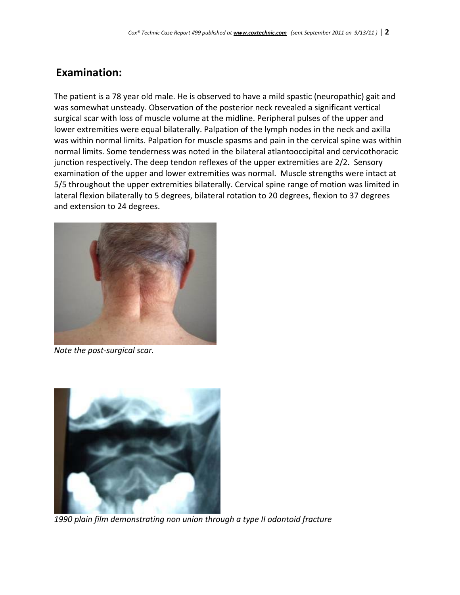### **Examination:**

The patient is a 78 year old male. He is observed to have a mild spastic (neuropathic) gait and was somewhat unsteady. Observation of the posterior neck revealed a significant vertical surgical scar with loss of muscle volume at the midline. Peripheral pulses of the upper and lower extremities were equal bilaterally. Palpation of the lymph nodes in the neck and axilla was within normal limits. Palpation for muscle spasms and pain in the cervical spine was within normal limits. Some tenderness was noted in the bilateral atlantooccipital and cervicothoracic junction respectively. The deep tendon reflexes of the upper extremities are 2/2. Sensory examination of the upper and lower extremities was normal. Muscle strengths were intact at 5/5 throughout the upper extremities bilaterally. Cervical spine range of motion was limited in lateral flexion bilaterally to 5 degrees, bilateral rotation to 20 degrees, flexion to 37 degrees and extension to 24 degrees.



*Note the post‐surgical scar.*



*1990 plain film demonstrating non union through a type II odontoid fracture*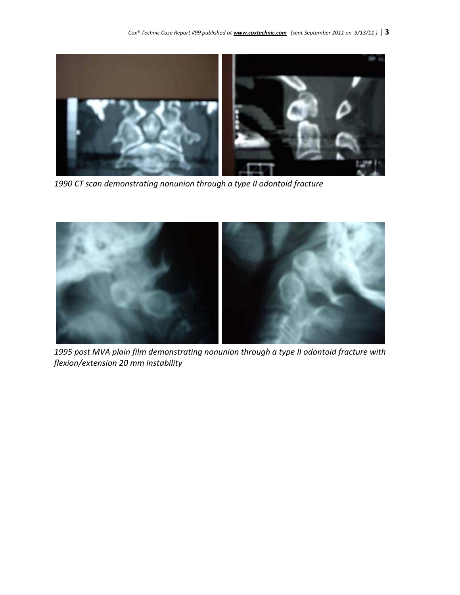*Cox® Technic Case Report #99 published at www.coxtechnic.com (sent September 2011 on 9/13/11 )* | **3**



*1990 CT scan demonstrating nonunion through a type II odontoid fracture*



*1995 post MVA plain film demonstrating nonunion through a type II odontoid fracture with flexion/extension 20 mm instability*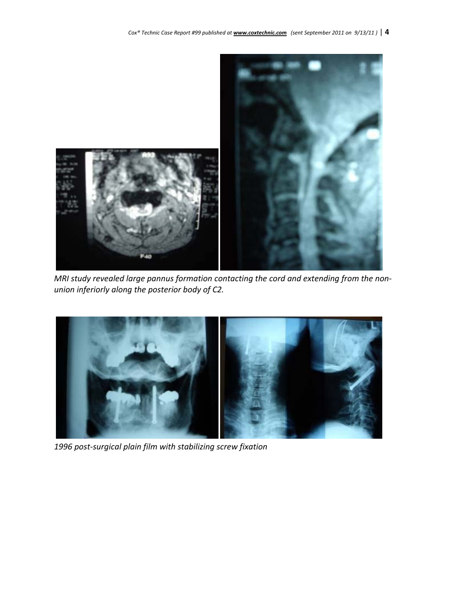

*MRI study revealed large pannus formation contacting the cord and extending from the non‐ union inferiorly along the posterior body of C2.*



*1996 post‐surgical plain film with stabilizing screw fixation*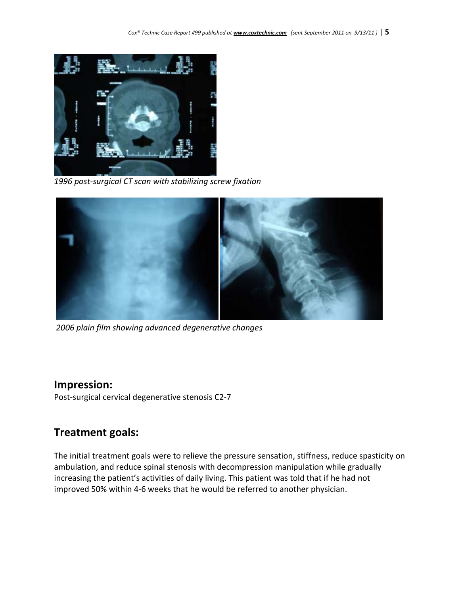

*1996 post‐surgical CT scan with stabilizing screw fixation*



*2006 plain film showing advanced degenerative changes*

#### **Impression:**

Post‐surgical cervical degenerative stenosis C2‐7

### **Treatment goals:**

The initial treatment goals were to relieve the pressure sensation, stiffness, reduce spasticity on ambulation, and reduce spinal stenosis with decompression manipulation while gradually increasing the patient's activities of daily living. This patient was told that if he had not improved 50% within 4‐6 weeks that he would be referred to another physician.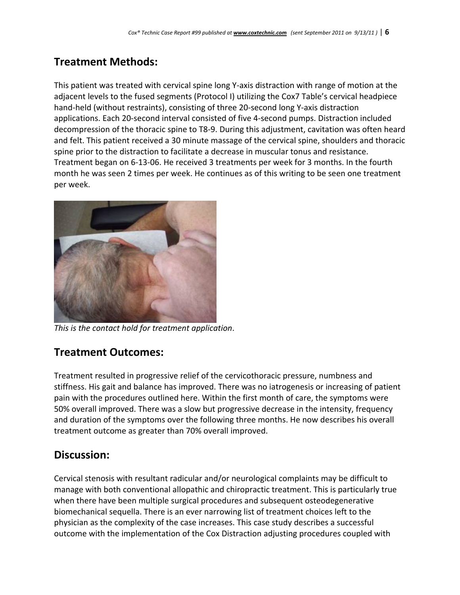# **Treatment Methods:**

This patient was treated with cervical spine long Y‐axis distraction with range of motion at the adjacent levels to the fused segments (Protocol I) utilizing the Cox7 Table's cervical headpiece hand‐held (without restraints), consisting of three 20‐second long Y‐axis distraction applications. Each 20‐second interval consisted of five 4‐second pumps. Distraction included decompression of the thoracic spine to T8‐9. During this adjustment, cavitation was often heard and felt. This patient received a 30 minute massage of the cervical spine, shoulders and thoracic spine prior to the distraction to facilitate a decrease in muscular tonus and resistance. Treatment began on 6‐13‐06. He received 3 treatments per week for 3 months. In the fourth month he was seen 2 times per week. He continues as of this writing to be seen one treatment per week.



*This is the contact hold for treatment application*.

## **Treatment Outcomes:**

Treatment resulted in progressive relief of the cervicothoracic pressure, numbness and stiffness. His gait and balance has improved. There was no iatrogenesis or increasing of patient pain with the procedures outlined here. Within the first month of care, the symptoms were 50% overall improved. There was a slow but progressive decrease in the intensity, frequency and duration of the symptoms over the following three months. He now describes his overall treatment outcome as greater than 70% overall improved.

### **Discussion:**

Cervical stenosis with resultant radicular and/or neurological complaints may be difficult to manage with both conventional allopathic and chiropractic treatment. This is particularly true when there have been multiple surgical procedures and subsequent osteodegenerative biomechanical sequella. There is an ever narrowing list of treatment choices left to the physician as the complexity of the case increases. This case study describes a successful outcome with the implementation of the Cox Distraction adjusting procedures coupled with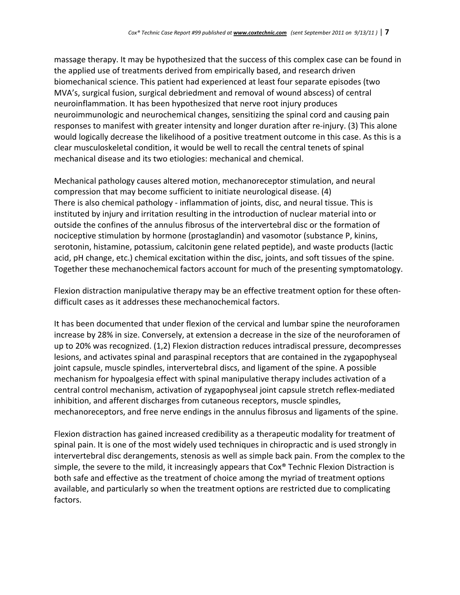massage therapy. It may be hypothesized that the success of this complex case can be found in the applied use of treatments derived from empirically based, and research driven biomechanical science. This patient had experienced at least four separate episodes (two MVA's, surgical fusion, surgical debriedment and removal of wound abscess) of central neuroinflammation. It has been hypothesized that nerve root injury produces neuroimmunologic and neurochemical changes, sensitizing the spinal cord and causing pain responses to manifest with greater intensity and longer duration after re-injury. (3) This alone would logically decrease the likelihood of a positive treatment outcome in this case. As this is a clear musculoskeletal condition, it would be well to recall the central tenets of spinal mechanical disease and its two etiologies: mechanical and chemical.

Mechanical pathology causes altered motion, mechanoreceptor stimulation, and neural compression that may become sufficient to initiate neurological disease. (4) There is also chemical pathology ‐ inflammation of joints, disc, and neural tissue. This is instituted by injury and irritation resulting in the introduction of nuclear material into or outside the confines of the annulus fibrosus of the intervertebral disc or the formation of nociceptive stimulation by hormone (prostaglandin) and vasomotor (substance P, kinins, serotonin, histamine, potassium, calcitonin gene related peptide), and waste products (lactic acid, pH change, etc.) chemical excitation within the disc, joints, and soft tissues of the spine. Together these mechanochemical factors account for much of the presenting symptomatology.

Flexion distraction manipulative therapy may be an effective treatment option for these often‐ difficult cases as it addresses these mechanochemical factors.

It has been documented that under flexion of the cervical and lumbar spine the neuroforamen increase by 28% in size. Conversely, at extension a decrease in the size of the neuroforamen of up to 20% was recognized. (1,2) Flexion distraction reduces intradiscal pressure, decompresses lesions, and activates spinal and paraspinal receptors that are contained in the zygapophyseal joint capsule, muscle spindles, intervertebral discs, and ligament of the spine. A possible mechanism for hypoalgesia effect with spinal manipulative therapy includes activation of a central control mechanism, activation of zygapophyseal joint capsule stretch reflex-mediated inhibition, and afferent discharges from cutaneous receptors, muscle spindles, mechanoreceptors, and free nerve endings in the annulus fibrosus and ligaments of the spine.

Flexion distraction has gained increased credibility as a therapeutic modality for treatment of spinal pain. It is one of the most widely used techniques in chiropractic and is used strongly in intervertebral disc derangements, stenosis as well as simple back pain. From the complex to the simple, the severe to the mild, it increasingly appears that Cox® Technic Flexion Distraction is both safe and effective as the treatment of choice among the myriad of treatment options available, and particularly so when the treatment options are restricted due to complicating factors.